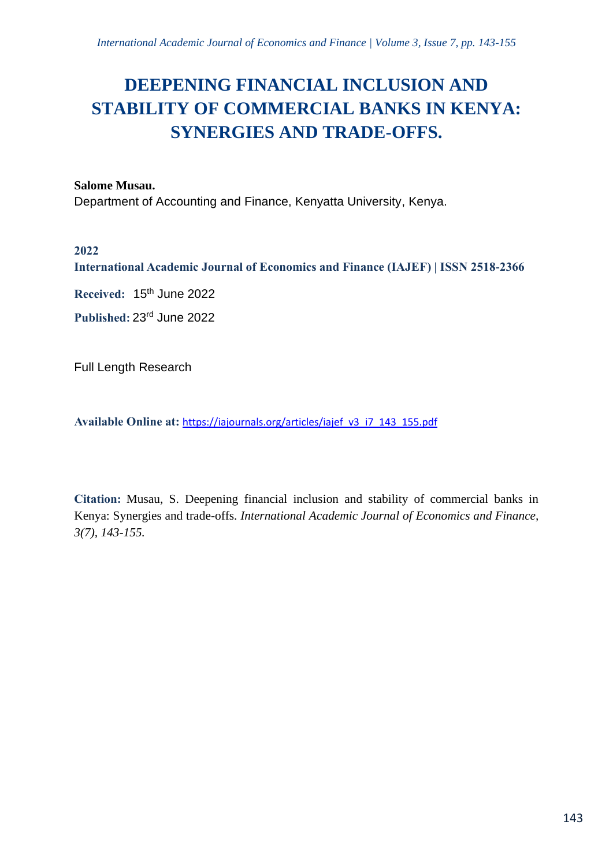# **DEEPENING FINANCIAL INCLUSION AND STABILITY OF COMMERCIAL BANKS IN KENYA: SYNERGIES AND TRADE-OFFS.**

#### **Salome Musau.**

Department of Accounting and Finance, Kenyatta University, Kenya.

## **2022**

**International Academic Journal of Economics and Finance (IAJEF) | ISSN 2518-2366**

**Received:** 15 th June 2022

**Published:** 23rd June 2022

Full Length Research

**Available Online at:** [https://iajournals.org/articles/iajef\\_v3\\_i7\\_143\\_155.pdf](https://iajournals.org/articles/iajef_v3_i7_143_155.pdf)

**Citation:** Musau, S. Deepening financial inclusion and stability of commercial banks in Kenya: Synergies and trade-offs. *International Academic Journal of Economics and Finance, 3(7), 143-155.*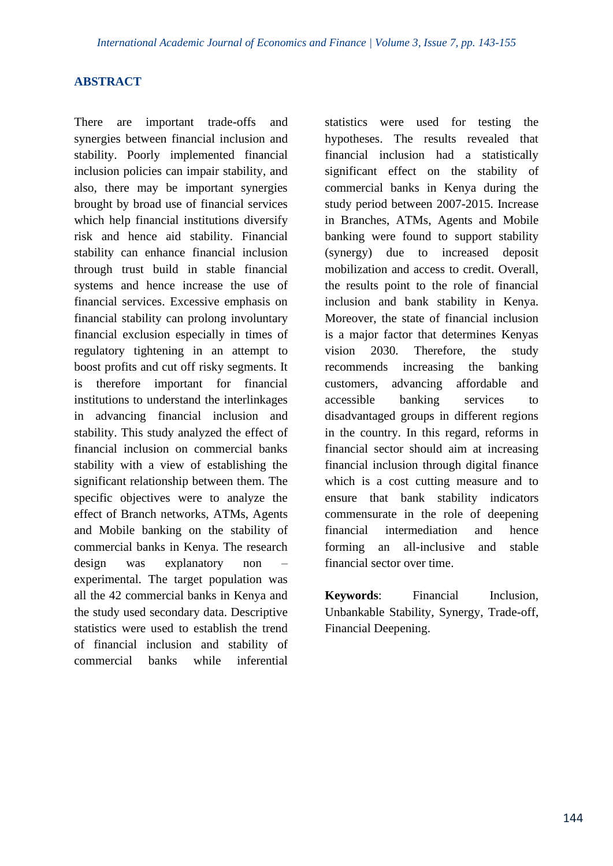### **ABSTRACT**

There are important trade-offs and synergies between financial inclusion and stability. Poorly implemented financial inclusion policies can impair stability, and also, there may be important synergies brought by broad use of financial services which help financial institutions diversify risk and hence aid stability. Financial stability can enhance financial inclusion through trust build in stable financial systems and hence increase the use of financial services. Excessive emphasis on financial stability can prolong involuntary financial exclusion especially in times of regulatory tightening in an attempt to boost profits and cut off risky segments. It is therefore important for financial institutions to understand the interlinkages in advancing financial inclusion and stability. This study analyzed the effect of financial inclusion on commercial banks stability with a view of establishing the significant relationship between them. The specific objectives were to analyze the effect of Branch networks, ATMs, Agents and Mobile banking on the stability of commercial banks in Kenya. The research design was explanatory non – experimental. The target population was all the 42 commercial banks in Kenya and the study used secondary data. Descriptive statistics were used to establish the trend of financial inclusion and stability of commercial banks while inferential statistics were used for testing the hypotheses. The results revealed that financial inclusion had a statistically significant effect on the stability of commercial banks in Kenya during the study period between 2007-2015. Increase in Branches, ATMs, Agents and Mobile banking were found to support stability (synergy) due to increased deposit mobilization and access to credit. Overall, the results point to the role of financial inclusion and bank stability in Kenya. Moreover, the state of financial inclusion is a major factor that determines Kenyas vision 2030. Therefore, the study recommends increasing the banking customers, advancing affordable and accessible banking services to disadvantaged groups in different regions in the country. In this regard, reforms in financial sector should aim at increasing financial inclusion through digital finance which is a cost cutting measure and to ensure that bank stability indicators commensurate in the role of deepening financial intermediation and hence forming an all-inclusive and stable financial sector over time.

**Keywords**: Financial Inclusion, Unbankable Stability, Synergy, Trade-off, Financial Deepening.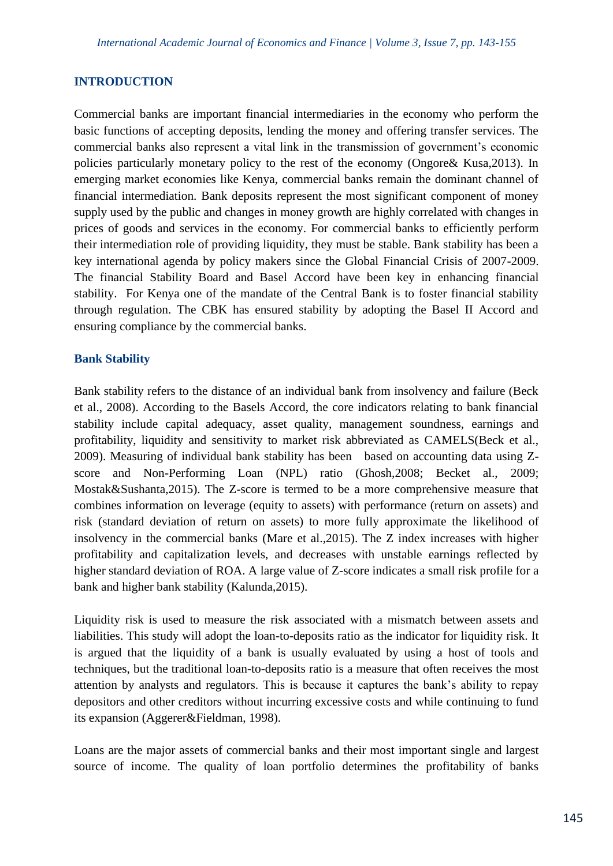## **INTRODUCTION**

Commercial banks are important financial intermediaries in the economy who perform the basic functions of accepting deposits, lending the money and offering transfer services. The commercial banks also represent a vital link in the transmission of government's economic policies particularly monetary policy to the rest of the economy (Ongore& Kusa,2013). In emerging market economies like Kenya, commercial banks remain the dominant channel of financial intermediation. Bank deposits represent the most significant component of money supply used by the public and changes in money growth are highly correlated with changes in prices of goods and services in the economy. For commercial banks to efficiently perform their intermediation role of providing liquidity, they must be stable. Bank stability has been a key international agenda by policy makers since the Global Financial Crisis of 2007-2009. The financial Stability Board and Basel Accord have been key in enhancing financial stability. For Kenya one of the mandate of the Central Bank is to foster financial stability through regulation. The CBK has ensured stability by adopting the Basel II Accord and ensuring compliance by the commercial banks.

#### **Bank Stability**

Bank stability refers to the distance of an individual bank from insolvency and failure (Beck et al., 2008). According to the Basels Accord, the core indicators relating to bank financial stability include capital adequacy, asset quality, management soundness, earnings and profitability, liquidity and sensitivity to market risk abbreviated as CAMELS(Beck et al., 2009). Measuring of individual bank stability has been based on accounting data using Zscore and Non-Performing Loan (NPL) ratio (Ghosh,2008; Becket al., 2009; Mostak&Sushanta,2015). The Z-score is termed to be a more comprehensive measure that combines information on leverage (equity to assets) with performance (return on assets) and risk (standard deviation of return on assets) to more fully approximate the likelihood of insolvency in the commercial banks (Mare et al.,2015). The Z index increases with higher profitability and capitalization levels, and decreases with unstable earnings reflected by higher standard deviation of ROA. A large value of Z-score indicates a small risk profile for a bank and higher bank stability (Kalunda,2015).

Liquidity risk is used to measure the risk associated with a mismatch between assets and liabilities. This study will adopt the loan-to-deposits ratio as the indicator for liquidity risk. It is argued that the liquidity of a bank is usually evaluated by using a host of tools and techniques, but the traditional loan-to-deposits ratio is a measure that often receives the most attention by analysts and regulators. This is because it captures the bank's ability to repay depositors and other creditors without incurring excessive costs and while continuing to fund its expansion (Aggerer&Fieldman, 1998).

Loans are the major assets of commercial banks and their most important single and largest source of income. The quality of loan portfolio determines the profitability of banks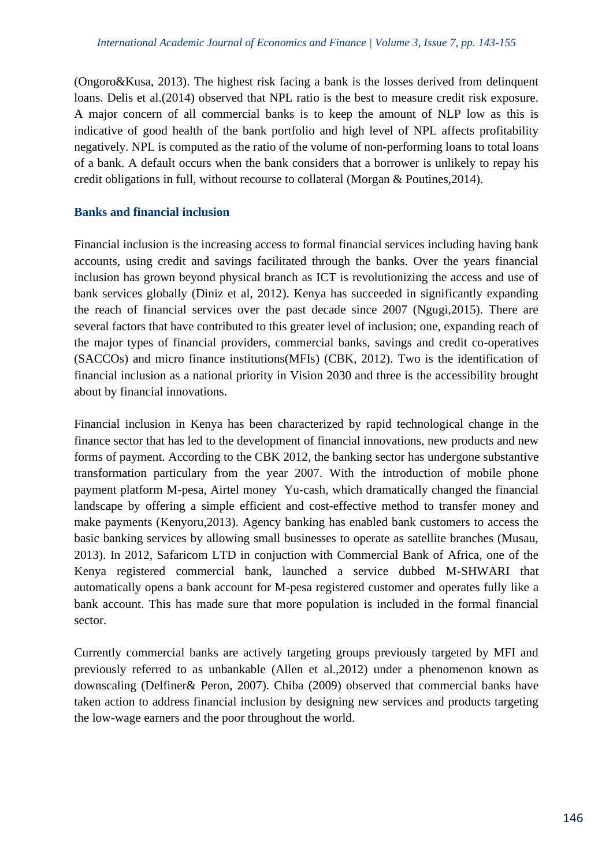(Ongoro&Kusa, 2013). The highest risk facing a bank is the losses derived from delinquent loans. Delis et al.(2014) observed that NPL ratio is the best to measure credit risk exposure. A major concern of all commercial banks is to keep the amount of NLP low as this is indicative of good health of the bank portfolio and high level of NPL affects profitability negatively. NPL is computed as the ratio of the volume of non-performing loans to total loans of a bank. A default occurs when the bank considers that a borrower is unlikely to repay his credit obligations in full, without recourse to collateral (Morgan & Poutines,2014).

#### **Banks and financial inclusion**

Financial inclusion is the increasing access to formal financial services including having bank accounts, using credit and savings facilitated through the banks. Over the years financial inclusion has grown beyond physical branch as ICT is revolutionizing the access and use of bank services globally (Diniz et al, 2012). Kenya has succeeded in significantly expanding the reach of financial services over the past decade since 2007 (Ngugi,2015). There are several factors that have contributed to this greater level of inclusion; one, expanding reach of the major types of financial providers, commercial banks, savings and credit co-operatives (SACCOs) and micro finance institutions(MFIs) (CBK, 2012). Two is the identification of financial inclusion as a national priority in Vision 2030 and three is the accessibility brought about by financial innovations.

Financial inclusion in Kenya has been characterized by rapid technological change in the finance sector that has led to the development of financial innovations, new products and new forms of payment. According to the CBK 2012, the banking sector has undergone substantive transformation particulary from the year 2007. With the introduction of mobile phone payment platform M-pesa, Airtel money Yu-cash, which dramatically changed the financial landscape by offering a simple efficient and cost-effective method to transfer money and make payments (Kenyoru,2013). Agency banking has enabled bank customers to access the basic banking services by allowing small businesses to operate as satellite branches (Musau, 2013). In 2012, Safaricom LTD in conjuction with Commercial Bank of Africa, one of the Kenya registered commercial bank, launched a service dubbed M-SHWARI that automatically opens a bank account for M-pesa registered customer and operates fully like a bank account. This has made sure that more population is included in the formal financial sector.

Currently commercial banks are actively targeting groups previously targeted by MFI and previously referred to as unbankable (Allen et al.,2012) under a phenomenon known as downscaling (Delfiner& Peron, 2007). Chiba (2009) observed that commercial banks have taken action to address financial inclusion by designing new services and products targeting the low-wage earners and the poor throughout the world.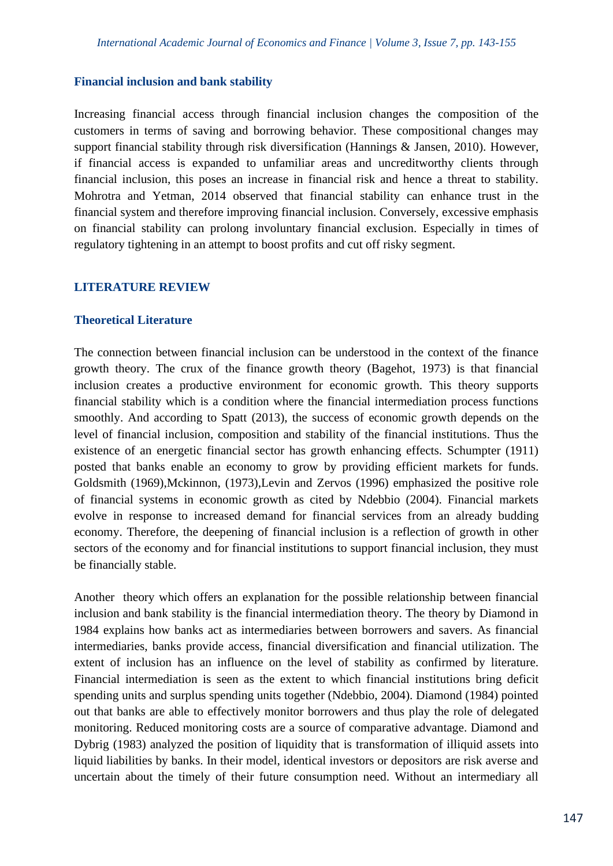#### **Financial inclusion and bank stability**

Increasing financial access through financial inclusion changes the composition of the customers in terms of saving and borrowing behavior. These compositional changes may support financial stability through risk diversification (Hannings & Jansen, 2010). However, if financial access is expanded to unfamiliar areas and uncreditworthy clients through financial inclusion, this poses an increase in financial risk and hence a threat to stability. Mohrotra and Yetman, 2014 observed that financial stability can enhance trust in the financial system and therefore improving financial inclusion. Conversely, excessive emphasis on financial stability can prolong involuntary financial exclusion. Especially in times of regulatory tightening in an attempt to boost profits and cut off risky segment.

#### **LITERATURE REVIEW**

#### **Theoretical Literature**

The connection between financial inclusion can be understood in the context of the finance growth theory. The crux of the finance growth theory (Bagehot, 1973) is that financial inclusion creates a productive environment for economic growth. This theory supports financial stability which is a condition where the financial intermediation process functions smoothly. And according to Spatt (2013), the success of economic growth depends on the level of financial inclusion, composition and stability of the financial institutions. Thus the existence of an energetic financial sector has growth enhancing effects. Schumpter (1911) posted that banks enable an economy to grow by providing efficient markets for funds. Goldsmith (1969),Mckinnon, (1973),Levin and Zervos (1996) emphasized the positive role of financial systems in economic growth as cited by Ndebbio (2004). Financial markets evolve in response to increased demand for financial services from an already budding economy. Therefore, the deepening of financial inclusion is a reflection of growth in other sectors of the economy and for financial institutions to support financial inclusion, they must be financially stable.

Another theory which offers an explanation for the possible relationship between financial inclusion and bank stability is the financial intermediation theory. The theory by Diamond in 1984 explains how banks act as intermediaries between borrowers and savers. As financial intermediaries, banks provide access, financial diversification and financial utilization. The extent of inclusion has an influence on the level of stability as confirmed by literature. Financial intermediation is seen as the extent to which financial institutions bring deficit spending units and surplus spending units together (Ndebbio, 2004). Diamond (1984) pointed out that banks are able to effectively monitor borrowers and thus play the role of delegated monitoring. Reduced monitoring costs are a source of comparative advantage. Diamond and Dybrig (1983) analyzed the position of liquidity that is transformation of illiquid assets into liquid liabilities by banks. In their model, identical investors or depositors are risk averse and uncertain about the timely of their future consumption need. Without an intermediary all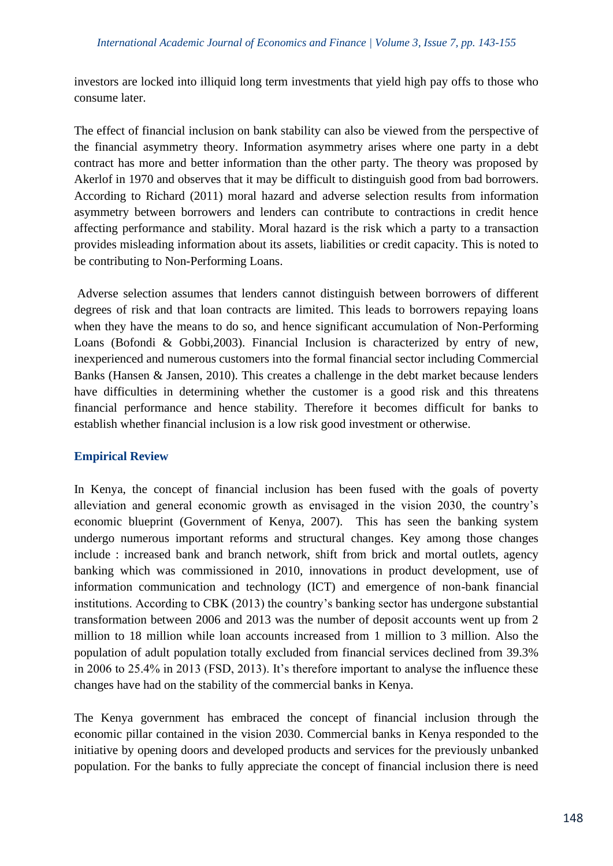investors are locked into illiquid long term investments that yield high pay offs to those who consume later.

The effect of financial inclusion on bank stability can also be viewed from the perspective of the financial asymmetry theory. Information asymmetry arises where one party in a debt contract has more and better information than the other party. The theory was proposed by Akerlof in 1970 and observes that it may be difficult to distinguish good from bad borrowers. According to Richard (2011) moral hazard and adverse selection results from information asymmetry between borrowers and lenders can contribute to contractions in credit hence affecting performance and stability. Moral hazard is the risk which a party to a transaction provides misleading information about its assets, liabilities or credit capacity. This is noted to be contributing to Non-Performing Loans.

Adverse selection assumes that lenders cannot distinguish between borrowers of different degrees of risk and that loan contracts are limited. This leads to borrowers repaying loans when they have the means to do so, and hence significant accumulation of Non-Performing Loans (Bofondi & Gobbi,2003). Financial Inclusion is characterized by entry of new, inexperienced and numerous customers into the formal financial sector including Commercial Banks (Hansen & Jansen, 2010). This creates a challenge in the debt market because lenders have difficulties in determining whether the customer is a good risk and this threatens financial performance and hence stability. Therefore it becomes difficult for banks to establish whether financial inclusion is a low risk good investment or otherwise.

## **Empirical Review**

In Kenya, the concept of financial inclusion has been fused with the goals of poverty alleviation and general economic growth as envisaged in the vision 2030, the country's economic blueprint (Government of Kenya, 2007). This has seen the banking system undergo numerous important reforms and structural changes. Key among those changes include : increased bank and branch network, shift from brick and mortal outlets, agency banking which was commissioned in 2010, innovations in product development, use of information communication and technology (ICT) and emergence of non-bank financial institutions. According to CBK (2013) the country's banking sector has undergone substantial transformation between 2006 and 2013 was the number of deposit accounts went up from 2 million to 18 million while loan accounts increased from 1 million to 3 million. Also the population of adult population totally excluded from financial services declined from 39.3% in 2006 to 25.4% in 2013 (FSD, 2013). It's therefore important to analyse the influence these changes have had on the stability of the commercial banks in Kenya.

The Kenya government has embraced the concept of financial inclusion through the economic pillar contained in the vision 2030. Commercial banks in Kenya responded to the initiative by opening doors and developed products and services for the previously unbanked population. For the banks to fully appreciate the concept of financial inclusion there is need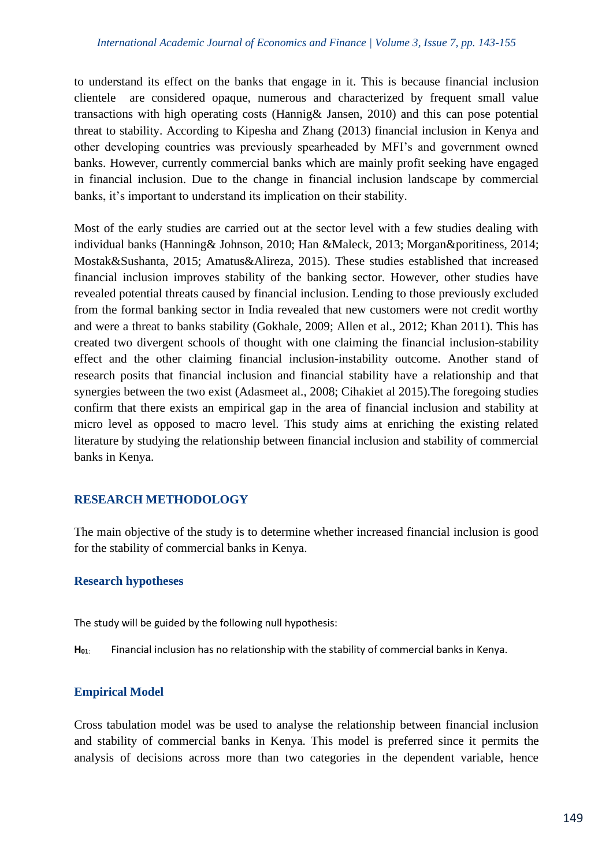to understand its effect on the banks that engage in it. This is because financial inclusion clientele are considered opaque, numerous and characterized by frequent small value transactions with high operating costs (Hannig& Jansen, 2010) and this can pose potential threat to stability. According to Kipesha and Zhang (2013) financial inclusion in Kenya and other developing countries was previously spearheaded by MFI's and government owned banks. However, currently commercial banks which are mainly profit seeking have engaged in financial inclusion. Due to the change in financial inclusion landscape by commercial banks, it's important to understand its implication on their stability.

Most of the early studies are carried out at the sector level with a few studies dealing with individual banks (Hanning& Johnson, 2010; Han &Maleck, 2013; Morgan&poritiness, 2014; Mostak&Sushanta, 2015; Amatus&Alireza, 2015). These studies established that increased financial inclusion improves stability of the banking sector. However, other studies have revealed potential threats caused by financial inclusion. Lending to those previously excluded from the formal banking sector in India revealed that new customers were not credit worthy and were a threat to banks stability (Gokhale, 2009; Allen et al., 2012; Khan 2011). This has created two divergent schools of thought with one claiming the financial inclusion-stability effect and the other claiming financial inclusion-instability outcome. Another stand of research posits that financial inclusion and financial stability have a relationship and that synergies between the two exist (Adasmeet al., 2008; Cihakiet al 2015).The foregoing studies confirm that there exists an empirical gap in the area of financial inclusion and stability at micro level as opposed to macro level. This study aims at enriching the existing related literature by studying the relationship between financial inclusion and stability of commercial banks in Kenya.

# **RESEARCH METHODOLOGY**

The main objective of the study is to determine whether increased financial inclusion is good for the stability of commercial banks in Kenya.

## **Research hypotheses**

The study will be guided by the following null hypothesis:

**H01**: Financial inclusion has no relationship with the stability of commercial banks in Kenya.

# **Empirical Model**

Cross tabulation model was be used to analyse the relationship between financial inclusion and stability of commercial banks in Kenya. This model is preferred since it permits the analysis of decisions across more than two categories in the dependent variable, hence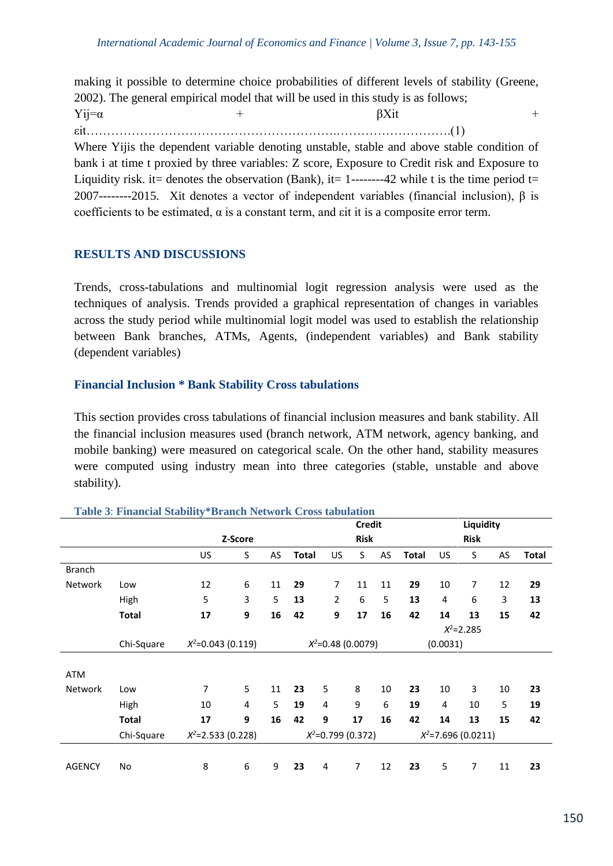making it possible to determine choice probabilities of different levels of stability (Greene, 2002). The general empirical model that will be used in this study is as follows;  $Yij=\alpha$  + βXit +

εit…………………………………………………….……………………….(1)

Where Yijis the dependent variable denoting unstable, stable and above stable condition of bank i at time t proxied by three variables: Z score, Exposure to Credit risk and Exposure to Liquidity risk, it= denotes the observation (Bank), it= 1-------42 while t is the time period t= 2007--------2015. Xit denotes a vector of independent variables (financial inclusion), β is coefficients to be estimated,  $\alpha$  is a constant term, and  $\sin i$  it is a composite error term.

## **RESULTS AND DISCUSSIONS**

Trends, cross-tabulations and multinomial logit regression analysis were used as the techniques of analysis. Trends provided a graphical representation of changes in variables across the study period while multinomial logit model was used to establish the relationship between Bank branches, ATMs, Agents, (independent variables) and Bank stability (dependent variables)

## **Financial Inclusion \* Bank Stability Cross tabulations**

This section provides cross tabulations of financial inclusion measures and bank stability. All the financial inclusion measures used (branch network, ATM network, agency banking, and mobile banking) were measured on categorical scale. On the other hand, stability measures were computed using industry mean into three categories (stable, unstable and above stability).

|                |              |                      |   |                      |              | <b>Credit</b>  |                |             | Liquidity             |     |                |    |       |
|----------------|--------------|----------------------|---|----------------------|--------------|----------------|----------------|-------------|-----------------------|-----|----------------|----|-------|
|                |              | Z-Score              |   |                      |              | <b>Risk</b>    |                | <b>Risk</b> |                       |     |                |    |       |
|                |              | US                   | S | AS                   | <b>Total</b> | US             | S              | AS          | <b>Total</b>          | US. | S              | AS | Total |
| <b>Branch</b>  |              |                      |   |                      |              |                |                |             |                       |     |                |    |       |
| <b>Network</b> | Low          | 12                   | 6 | 11                   | 29           | $\overline{7}$ | 11             | 11          | 29                    | 10  | $\overline{7}$ | 12 | 29    |
|                | High         | 5                    | 3 | 5                    | 13           | $\overline{2}$ | 6              | 5           | 13                    | 4   | 6              | 3  | 13    |
|                | <b>Total</b> | 17                   | 9 | 16                   | 42           | 9              | 17             | 16          | 42                    | 14  | 13             | 15 | 42    |
|                |              |                      |   |                      |              |                |                |             |                       |     | $X^2 = 2.285$  |    |       |
|                | Chi-Square   | $X^2$ =0.043 (0.119) |   | $X^2$ =0.48 (0.0079) |              |                |                |             | (0.0031)              |     |                |    |       |
|                |              |                      |   |                      |              |                |                |             |                       |     |                |    |       |
| <b>ATM</b>     |              |                      |   |                      |              |                |                |             |                       |     |                |    |       |
| <b>Network</b> | Low          | 7                    | 5 | 11                   | 23           | 5              | 8              | 10          | 23                    | 10  | 3              | 10 | 23    |
|                | High         | 10                   | 4 | 5                    | 19           | 4              | 9              | 6           | 19                    | 4   | 10             | 5  | 19    |
|                | <b>Total</b> | 17                   | 9 | 16                   | 42           | 9              | 17             | 16          | 42                    | 14  | 13             | 15 | 42    |
|                | Chi-Square   | $X^2$ =2.533 (0.228) |   | $X^2$ =0.799 (0.372) |              |                |                |             | $X^2$ =7.696 (0.0211) |     |                |    |       |
|                |              |                      |   |                      |              |                |                |             |                       |     |                |    |       |
| <b>AGENCY</b>  | No           | 8                    | 6 | 9                    | 23           | 4              | $\overline{7}$ | 12          | 23                    | 5   | $\overline{7}$ | 11 | 23    |

#### **Table 3**: **Financial Stability\*Branch Network Cross tabulation**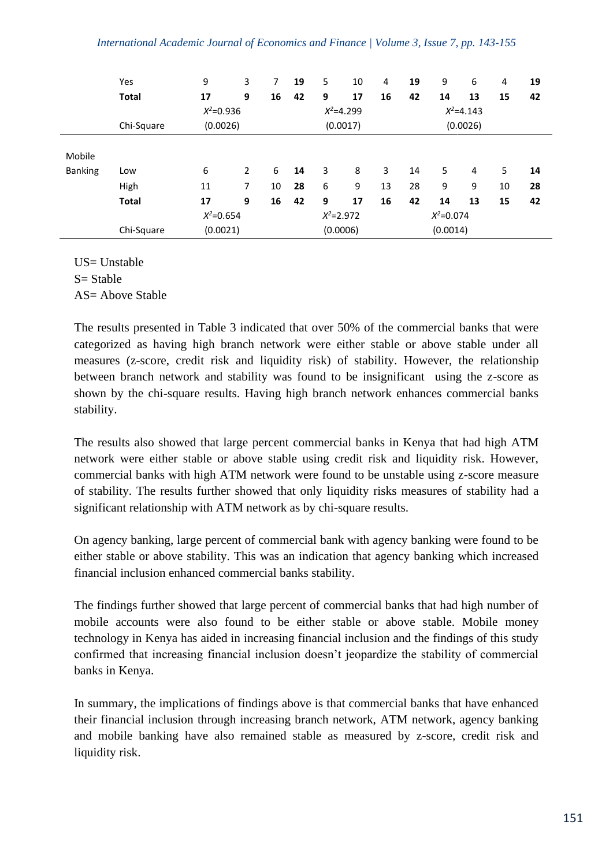|                | Yes          | 9             | 3 | 7  | 19 | 5             | 10 | 4  | 19 | 9             | 6  | 4  | 19 |  |  |
|----------------|--------------|---------------|---|----|----|---------------|----|----|----|---------------|----|----|----|--|--|
|                | <b>Total</b> | 17            | 9 | 16 | 42 | 9             | 17 | 16 | 42 | 14            | 13 | 15 | 42 |  |  |
|                |              | $X^2 = 0.936$ |   |    |    | $X^2 = 4.299$ |    |    |    | $X^2 = 4.143$ |    |    |    |  |  |
|                | Chi-Square   | (0.0026)      |   |    |    | (0.0017)      |    |    |    | (0.0026)      |    |    |    |  |  |
| Mobile         |              |               |   |    |    |               |    |    |    |               |    |    |    |  |  |
| <b>Banking</b> | Low          | 6             | 2 | 6  | 14 | 3             | 8  | 3  | 14 | 5             | 4  | 5  | 14 |  |  |
|                | High         | 11            | 7 | 10 | 28 | 6             | 9  | 13 | 28 | 9             | 9  | 10 | 28 |  |  |
|                | <b>Total</b> | 17            | 9 | 16 | 42 | 9             | 17 | 16 | 42 | 14            | 13 | 15 | 42 |  |  |
|                |              | $X^2 = 0.654$ |   |    |    | $X^2 = 2.972$ |    |    |    | $X^2 = 0.074$ |    |    |    |  |  |
|                | Chi-Square   | (0.0021)      |   |    |    | (0.0006)      |    |    |    | (0.0014)      |    |    |    |  |  |

US= Unstable  $S =$  Stable AS= Above Stable

The results presented in Table 3 indicated that over 50% of the commercial banks that were categorized as having high branch network were either stable or above stable under all measures (z-score, credit risk and liquidity risk) of stability. However, the relationship between branch network and stability was found to be insignificant using the z-score as shown by the chi-square results. Having high branch network enhances commercial banks stability.

The results also showed that large percent commercial banks in Kenya that had high ATM network were either stable or above stable using credit risk and liquidity risk. However, commercial banks with high ATM network were found to be unstable using z-score measure of stability. The results further showed that only liquidity risks measures of stability had a significant relationship with ATM network as by chi-square results.

On agency banking, large percent of commercial bank with agency banking were found to be either stable or above stability. This was an indication that agency banking which increased financial inclusion enhanced commercial banks stability.

The findings further showed that large percent of commercial banks that had high number of mobile accounts were also found to be either stable or above stable. Mobile money technology in Kenya has aided in increasing financial inclusion and the findings of this study confirmed that increasing financial inclusion doesn't jeopardize the stability of commercial banks in Kenya.

In summary, the implications of findings above is that commercial banks that have enhanced their financial inclusion through increasing branch network, ATM network, agency banking and mobile banking have also remained stable as measured by z-score, credit risk and liquidity risk.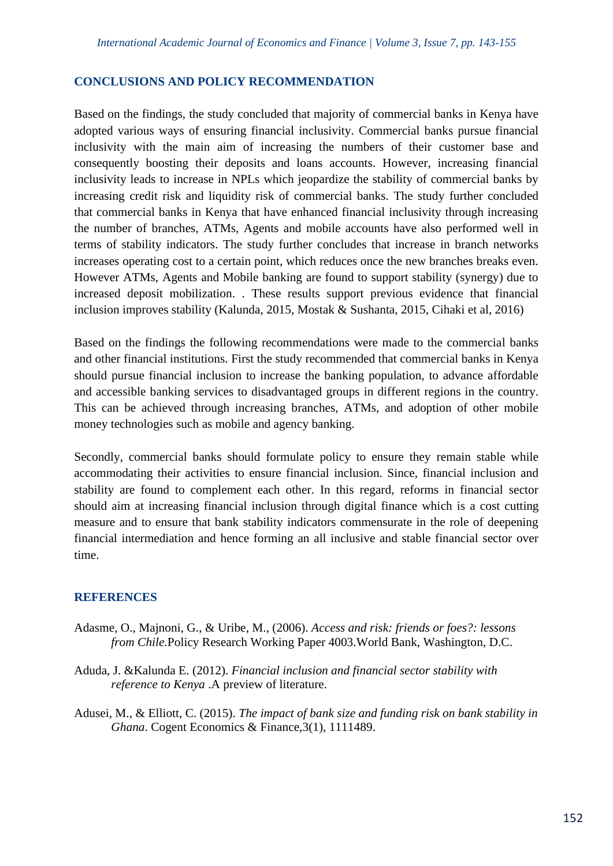#### **CONCLUSIONS AND POLICY RECOMMENDATION**

Based on the findings, the study concluded that majority of commercial banks in Kenya have adopted various ways of ensuring financial inclusivity. Commercial banks pursue financial inclusivity with the main aim of increasing the numbers of their customer base and consequently boosting their deposits and loans accounts. However, increasing financial inclusivity leads to increase in NPLs which jeopardize the stability of commercial banks by increasing credit risk and liquidity risk of commercial banks. The study further concluded that commercial banks in Kenya that have enhanced financial inclusivity through increasing the number of branches, ATMs, Agents and mobile accounts have also performed well in terms of stability indicators. The study further concludes that increase in branch networks increases operating cost to a certain point, which reduces once the new branches breaks even. However ATMs, Agents and Mobile banking are found to support stability (synergy) due to increased deposit mobilization. . These results support previous evidence that financial inclusion improves stability (Kalunda, 2015, Mostak & Sushanta, 2015, Cihaki et al, 2016)

Based on the findings the following recommendations were made to the commercial banks and other financial institutions. First the study recommended that commercial banks in Kenya should pursue financial inclusion to increase the banking population, to advance affordable and accessible banking services to disadvantaged groups in different regions in the country. This can be achieved through increasing branches, ATMs, and adoption of other mobile money technologies such as mobile and agency banking.

Secondly, commercial banks should formulate policy to ensure they remain stable while accommodating their activities to ensure financial inclusion. Since, financial inclusion and stability are found to complement each other. In this regard, reforms in financial sector should aim at increasing financial inclusion through digital finance which is a cost cutting measure and to ensure that bank stability indicators commensurate in the role of deepening financial intermediation and hence forming an all inclusive and stable financial sector over time.

#### **REFERENCES**

- Adasme, O., Majnoni, G., & Uribe, M., (2006). *Access and risk: friends or foes?: lessons from Chile.*Policy Research Working Paper 4003.World Bank, Washington, D.C.
- Aduda, J. &Kalunda E. (2012). *Financial inclusion and financial sector stability with reference to Kenya* .A preview of literature.
- Adusei, M., & Elliott, C. (2015). *The impact of bank size and funding risk on bank stability in Ghana*. Cogent Economics & Finance, 3(1), 1111489.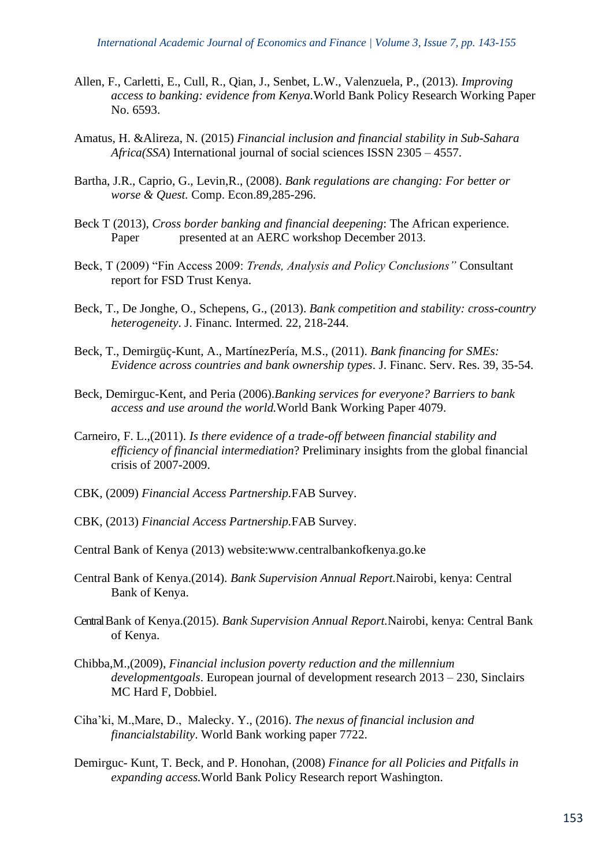- Allen, F., Carletti, E., Cull, R., Qian, J., Senbet, L.W., Valenzuela, P., (2013). *Improving access to banking: evidence from Kenya.*World Bank Policy Research Working Paper No. 6593.
- Amatus, H. &Alireza, N. (2015) *Financial inclusion and financial stability in Sub-Sahara Africa(SSA*) International journal of social sciences ISSN 2305 – 4557.
- Bartha, J.R., Caprio, G., Levin,R., (2008). *Bank regulations are changing: For better or worse & Quest.* Comp. Econ.89,285-296.
- Beck T (2013), *Cross border banking and financial deepening*: The African experience. Paper presented at an AERC workshop December 2013.
- Beck, T (2009) "Fin Access 2009: *Trends, Analysis and Policy Conclusions"* Consultant report for FSD Trust Kenya.
- Beck, T., De Jonghe, O., Schepens, G., (2013). *Bank competition and stability: cross-country heterogeneity*. J. Financ. Intermed. 22, 218-244.
- Beck, T., Demirgüç-Kunt, A., MartínezPería, M.S., (2011). *Bank financing for SMEs: Evidence across countries and bank ownership types*. J. Financ. Serv. Res. 39, 35-54.
- Beck, Demirguc-Kent, and Peria (2006).*Banking services for everyone? Barriers to bank access and use around the world.*World Bank Working Paper 4079.
- Carneiro, F. L.,(2011). *Is there evidence of a trade-off between financial stability and efficiency of financial intermediation*? Preliminary insights from the global financial crisis of 2007-2009.
- CBK, (2009) *Financial Access Partnership.*FAB Survey.
- CBK, (2013) *Financial Access Partnership.*FAB Survey.
- Central Bank of Kenya (2013) website:www.centralbankofkenya.go.ke
- Central Bank of Kenya.(2014). *Bank Supervision Annual Report.*Nairobi, kenya: Central Bank of Kenya.
- Central Bank of Kenya.(2015). *Bank Supervision Annual Report.*Nairobi, kenya: Central Bank of Kenya.
- Chibba,M.,(2009), *Financial inclusion poverty reduction and the millennium developmentgoals*. European journal of development research 2013 – 230, Sinclairs MC Hard F, Dobbiel.
- Ciha'ki, M.,Mare, D., Malecky. Y., (2016). *The nexus of financial inclusion and financialstability*. World Bank working paper 7722.
- Demirguc- Kunt, T. Beck, and P. Honohan, (2008) *Finance for all Policies and Pitfalls in expanding access.*World Bank Policy Research report Washington.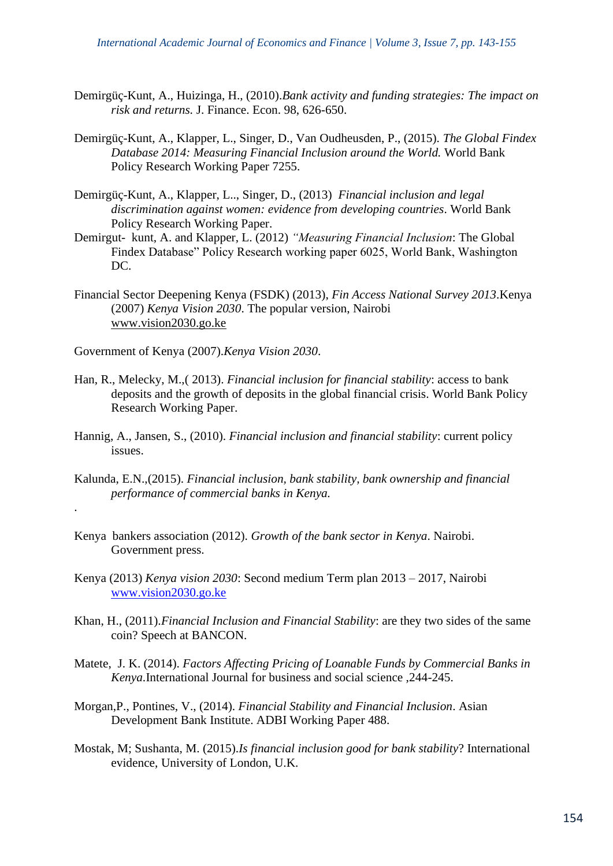- Demirgüç-Kunt, A., Huizinga, H., (2010).*Bank activity and funding strategies: The impact on risk and returns.* J. Finance. Econ. 98, 626-650.
- Demirgüç-Kunt, A., Klapper, L., Singer, D., Van Oudheusden, P., (2015). *The Global Findex Database 2014: Measuring Financial Inclusion around the World.* World Bank Policy Research Working Paper 7255.
- Demirgüç-Kunt, A., Klapper, L.., Singer, D., (2013) *Financial inclusion and legal discrimination against women: evidence from developing countries*. World Bank Policy Research Working Paper.
- Demirgut- kunt, A. and Klapper, L. (2012) *"Measuring Financial Inclusion*: The Global Findex Database" Policy Research working paper 6025, World Bank, Washington DC.
- Financial Sector Deepening Kenya (FSDK) (2013), *Fin Access National Survey 2013*.Kenya (2007) *Kenya Vision 2030*. The popular version, Nairobi [www.vision2030.go.ke](http://www.vision2030.go.ke/)
- Government of Kenya (2007).*Kenya Vision 2030*.

.

- Han, R., Melecky, M.,( 2013). *Financial inclusion for financial stability*: access to bank deposits and the growth of deposits in the global financial crisis. World Bank Policy Research Working Paper.
- Hannig, A., Jansen, S., (2010). *Financial inclusion and financial stability*: current policy issues.
- Kalunda, E.N.,(2015). *Financial inclusion, bank stability, bank ownership and financial performance of commercial banks in Kenya.*
- Kenya bankers association (2012). *Growth of the bank sector in Kenya*. Nairobi. Government press.
- Kenya (2013) *Kenya vision 2030*: Second medium Term plan 2013 2017, Nairobi [www.vision2030.go.ke](http://www.vision2030.go.ke/)
- Khan, H., (2011).*Financial Inclusion and Financial Stability*: are they two sides of the same coin? Speech at BANCON.
- Matete, J. K. (2014). *Factors Affecting Pricing of Loanable Funds by Commercial Banks in Kenya*.International Journal for business and social science ,244-245.
- Morgan,P., Pontines, V., (2014). *Financial Stability and Financial Inclusion*. Asian Development Bank Institute. ADBI Working Paper 488.
- Mostak, M; Sushanta, M. (2015).*Is financial inclusion good for bank stability*? International evidence, University of London, U.K.